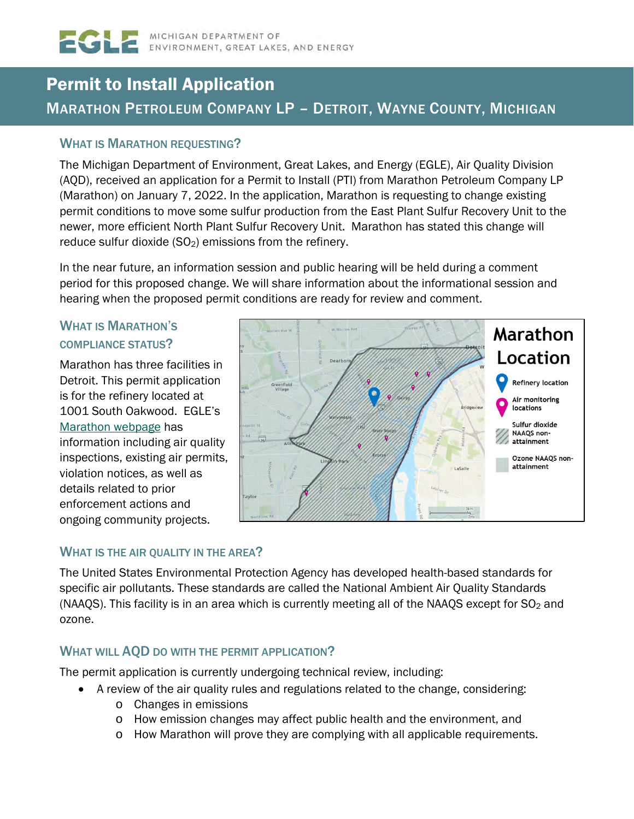# Permit to Install Application MARATHON PETROLEUM COMPANY LP – DETROIT, WAYNE COUNTY, MICHIGAN

### WHAT IS MARATHON REQUESTING?

The Michigan Department of Environment, Great Lakes, and Energy (EGLE), Air Quality Division (AQD), received an application for a Permit to Install (PTI) from Marathon Petroleum Company LP (Marathon) on January 7, 2022. In the application, Marathon is requesting to change existing permit conditions to move some sulfur production from the East Plant Sulfur Recovery Unit to the newer, more efficient North Plant Sulfur Recovery Unit. Marathon has stated this change will reduce sulfur dioxide (SO<sub>2</sub>) emissions from the refinery.

In the near future, an information session and public hearing will be held during a comment period for this proposed change. We will share information about the informational session and hearing when the proposed permit conditions are ready for review and comment.

## WHAT IS MARATHON'S COMPLIANCE STATUS?

Marathon has three facilities in Detroit. This permit application is for the refinery located at 1001 South Oakwood. EGLE's [Marathon webpage](https://www.michigan.gov/egle/0,9429,7-135-3310_70314-563368--,00.html) has information including air quality inspections, existing air permits, violation notices, as well as details related to prior enforcement actions and ongoing community projects.



### WHAT IS THE AIR QUALITY IN THE AREA?

The United States Environmental Protection Agency has developed health-based standards for specific air pollutants. These standards are called the National Ambient Air Quality Standards (NAAQS). This facility is in an area which is currently meeting all of the NAAQS except for  $SO_2$  and ozone.

### WHAT WILL AQD DO WITH THE PERMIT APPLICATION?

The permit application is currently undergoing technical review, including:

- A review of the air quality rules and regulations related to the change, considering:
	- o Changes in emissions
	- o How emission changes may affect public health and the environment, and
	- o How Marathon will prove they are complying with all applicable requirements.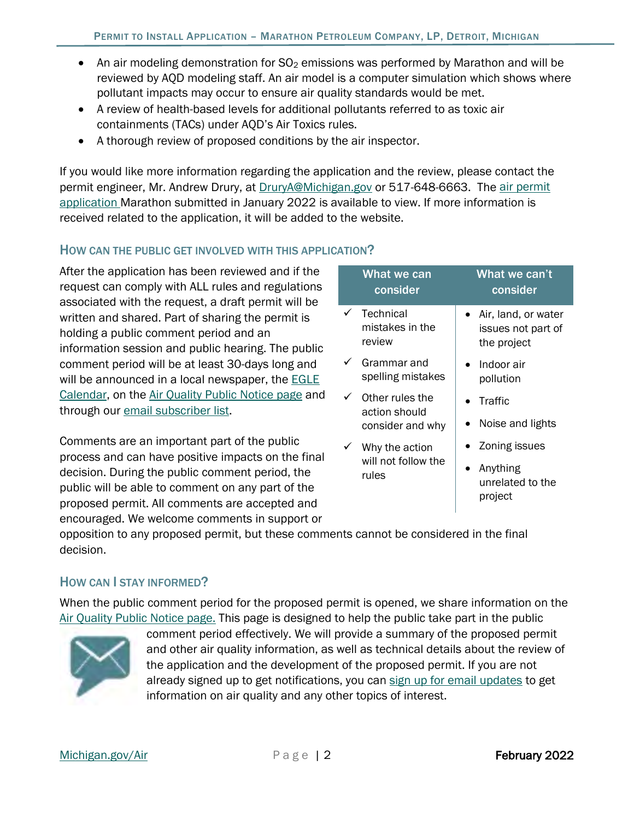- An air modeling demonstration for  $SO<sub>2</sub>$  emissions was performed by Marathon and will be reviewed by AQD modeling staff. An air model is a computer simulation which shows where pollutant impacts may occur to ensure air quality standards would be met.
- A review of health-based levels for additional pollutants referred to as toxic air containments (TACs) under AQD's Air Toxics rules.
- A thorough review of proposed conditions by the air inspector.

If you would like more information regarding the application and the review, please contact the permit engineer, Mr. Andrew Drury, at [DruryA@Michigan.gov](mailto:DruryA@Michigan.gov) or 517-648-6663. The air permit [application M](https://www.deq.state.mi.us/aps/downloads/permits/Marathon/APP-2022-0004/APP-2022-0004-SRU-Op-PTI%20App-Support.pdf)arathon submitted in January 2022 is available to view. If more information is received related to the application, it will be added to the website.

### HOW CAN THE PUBLIC GET INVOLVED WITH THIS APPLICATION?

After the application has been reviewed and if the request can comply with ALL rules and regulations associated with the request, a draft permit will be written and shared. Part of sharing the permit is holding a public comment period and an information session and public hearing. The public comment period will be at least 30-days long and will be announced in a local newspaper, the **EGLE** [Calendar,](https://www.michigan.gov/EGLEcalendar) on the [Air Quality Public Notice page](https://www.michigan.gov/EGLEAirPublicNotice) and through our [email subscriber list.](https://public.govdelivery.com/accounts/MIDEQ/subscriber/new)

Comments are an important part of the public process and can have positive impacts on the final decision. During the public comment period, the public will be able to comment on any part of the proposed permit. All comments are accepted and encouraged. We welcome comments in support or

| What we can<br>consider                | What we can't<br>consider                                |
|----------------------------------------|----------------------------------------------------------|
| Technical<br>mistakes in the<br>review | Air, land, or water<br>issues not part of<br>the project |
| Grammar and<br>spelling mistakes       | Indoor air<br>pollution                                  |
| Other rules the<br>action should       | Traffic<br>Noise and lights                              |
| consider and why<br>Why the action     | Zoning issues                                            |
| will not follow the<br>rules           | Anything<br>unrelated to the<br>project                  |

opposition to any proposed permit, but these comments cannot be considered in the final decision.

### HOW CAN I STAY INFORMED?

When the public comment period for the proposed permit is opened, we share information on the [Air Quality Public Notice page.](https://www.michigan.gov/EGLEAirPublicNotice) This page is designed to help the public take part in the public



comment period effectively. We will provide a summary of the proposed permit and other air quality information, as well as technical details about the review of the application and the development of the proposed permit. If you are not already signed up to get notifications, you can [sign up for email updates](https://public.govdelivery.com/accounts/MIDEQ/subscriber/new) to get information on air quality and any other topics of interest.